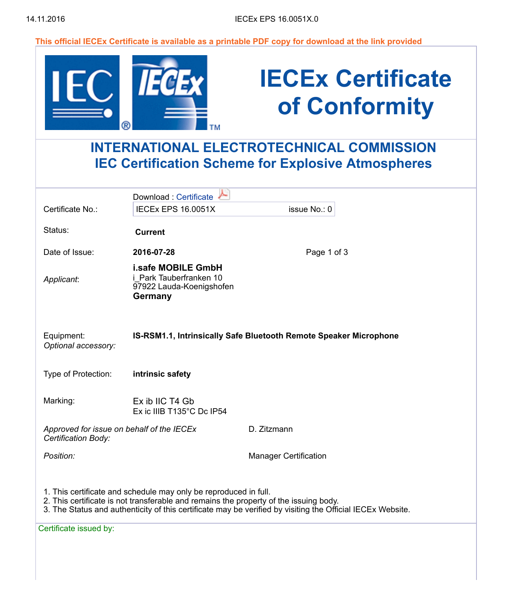This official IECEx Certificate is available as a printable PDF copy for download at the link provided

| (R)                                                                                                           |                                                                                      | <b>IECEx Certificate</b><br>of Conformity                         |  |
|---------------------------------------------------------------------------------------------------------------|--------------------------------------------------------------------------------------|-------------------------------------------------------------------|--|
| <b>INTERNATIONAL ELECTROTECHNICAL COMMISSION</b><br><b>IEC Certification Scheme for Explosive Atmospheres</b> |                                                                                      |                                                                   |  |
| Certificate No.:                                                                                              | Download: Certificate<br><b>IECEX EPS 16.0051X</b>                                   | issue No.: 0                                                      |  |
| Status:                                                                                                       | <b>Current</b>                                                                       |                                                                   |  |
| Date of Issue:                                                                                                | 2016-07-28                                                                           | Page 1 of 3                                                       |  |
| Applicant:                                                                                                    | i.safe MOBILE GmbH<br>i Park Tauberfranken 10<br>97922 Lauda-Koenigshofen<br>Germany |                                                                   |  |
| Equipment:<br>Optional accessory:                                                                             |                                                                                      | IS-RSM1.1, Intrinsically Safe Bluetooth Remote Speaker Microphone |  |
| Type of Protection:                                                                                           | intrinsic safety                                                                     |                                                                   |  |
| Marking:                                                                                                      | Ex ib IIC T4 Gb<br>Ex ic IIIB T135°C Dc IP54                                         |                                                                   |  |
| Approved for issue on behalf of the IECEx<br>Certification Body:                                              |                                                                                      | D. Zitzmann                                                       |  |
| Position:                                                                                                     |                                                                                      | <b>Manager Certification</b>                                      |  |
|                                                                                                               | 1. This certificate and schedule may only be reproduced in full.                     |                                                                   |  |

- 2. This certificate is not transferable and remains the property of the issuing body.
- 3. The Status and authenticity of this certificate may be verified by visiting the Official IECEx Website.

Certificate issued by: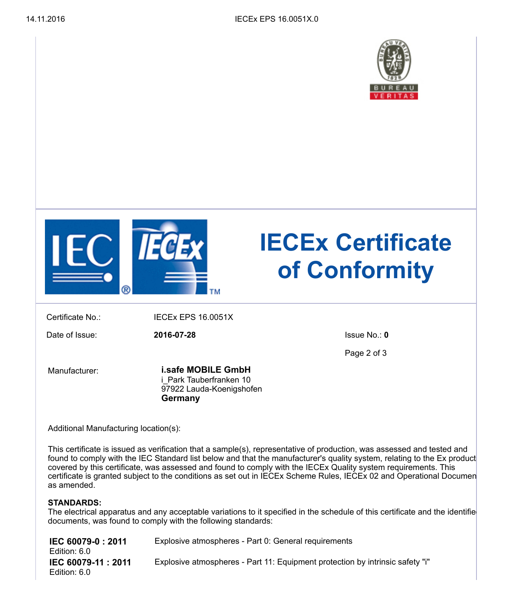



# IECEx Certificate of Conformity

Certificate No.: IECEx EPS 16.0051X

Date of Issue: 2016-07-28 Issue No.: 0

Page 2 of 3

Manufacturer:

i.safe MOBILE GmbH i Park Tauberfranken 10 97922 Lauda-Koenigshofen Germany

Additional Manufacturing location(s):

This certificate is issued as verification that a sample(s), representative of production, was assessed and tested and found to comply with the IEC Standard list below and that the manufacturer's quality system, relating to the Ex product covered by this certificate, was assessed and found to comply with the IECEx Quality system requirements. This certificate is granted subject to the conditions as set out in IECEx Scheme Rules, IECEx 02 and Operational Documen as amended.

### STANDARDS:

The electrical apparatus and any acceptable variations to it specified in the schedule of this certificate and the identifie documents, was found to comply with the following standards:

| IEC 60079-0 : 2011<br>Edition: 6.0  | Explosive atmospheres - Part 0: General requirements                          |
|-------------------------------------|-------------------------------------------------------------------------------|
| IEC 60079-11 : 2011<br>Edition: 6.0 | Explosive atmospheres - Part 11: Equipment protection by intrinsic safety "i" |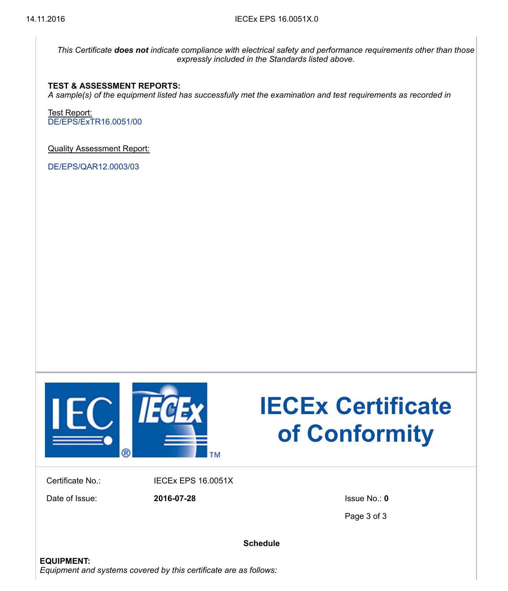This Certificate does not indicate compliance with electrical safety and performance requirements other than those expressly included in the Standards listed above.

#### TEST & ASSESSMENT REPORTS:

A sample(s) of the equipment listed has successfully met the examination and test requirements as recorded in

Test Report: [DE/EPS/ExTR16.0051/00](javascript:void(0);)

Quality Assessment Report:

[DE/EPS/QAR12.0003/03](javascript:void(0);)



# IECEx Certificate of Conformity

Certificate No.: IECEx EPS 16.0051X

Date of Issue: 2016-07-28 Issue No.: 0

Page 3 of 3

**Schedule**